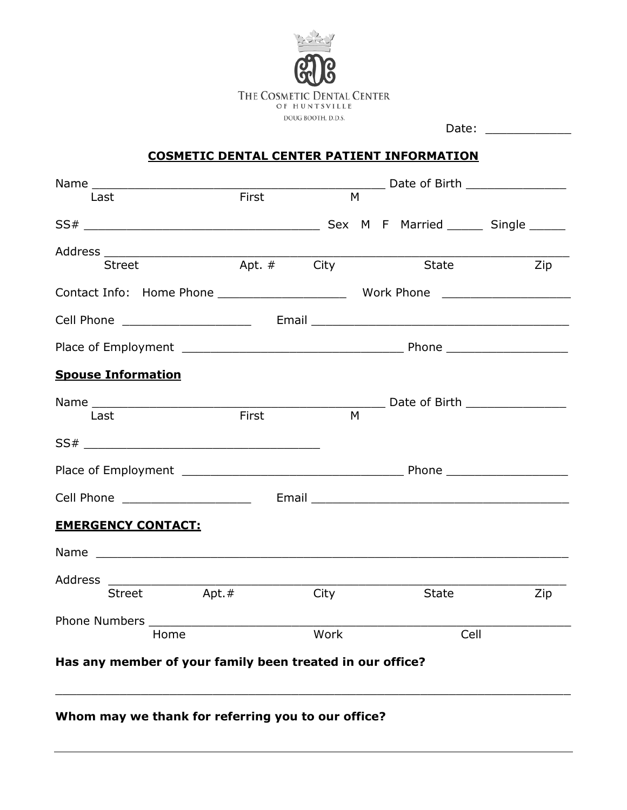

Date: \_\_\_\_\_\_\_\_\_\_\_\_

# **COSMETIC DENTAL CENTER PATIENT INFORMATION**

|                                                                                                                                   |             | Date of Birth ________________ |                                                         |     |  |  |
|-----------------------------------------------------------------------------------------------------------------------------------|-------------|--------------------------------|---------------------------------------------------------|-----|--|--|
| Last                                                                                                                              | First       | M                              |                                                         |     |  |  |
|                                                                                                                                   |             |                                |                                                         |     |  |  |
|                                                                                                                                   |             |                                |                                                         |     |  |  |
| Street                                                                                                                            | Apt. # City |                                | State                                                   | Zip |  |  |
|                                                                                                                                   |             |                                |                                                         |     |  |  |
|                                                                                                                                   |             |                                |                                                         |     |  |  |
|                                                                                                                                   |             |                                |                                                         |     |  |  |
| <b>Spouse Information</b>                                                                                                         |             |                                |                                                         |     |  |  |
|                                                                                                                                   |             |                                | <b>Example 12 Date of Birth Example 2</b> Date of Birth |     |  |  |
| Last                                                                                                                              | First       | M                              |                                                         |     |  |  |
|                                                                                                                                   |             |                                |                                                         |     |  |  |
|                                                                                                                                   |             |                                |                                                         |     |  |  |
| Cell Phone _____________________                                                                                                  |             |                                |                                                         |     |  |  |
| <b>EMERGENCY CONTACT:</b>                                                                                                         |             |                                |                                                         |     |  |  |
|                                                                                                                                   |             |                                |                                                         |     |  |  |
| Address<br><u> La componenta de la componenta de la componenta de la componenta de la componenta de la componenta de la compo</u> |             |                                |                                                         |     |  |  |
| Street Apt.#                                                                                                                      |             | City                           | State                                                   | Zip |  |  |
|                                                                                                                                   |             |                                |                                                         |     |  |  |
| Home                                                                                                                              |             | Work                           | Cell                                                    |     |  |  |
| Has any member of your family been treated in our office?                                                                         |             |                                |                                                         |     |  |  |

 $\_$  , and the contribution of the contribution of  $\mathcal{L}_1$  , and  $\mathcal{L}_2$  , and  $\mathcal{L}_3$  , and  $\mathcal{L}_4$  , and  $\mathcal{L}_5$  , and  $\mathcal{L}_6$  , and  $\mathcal{L}_7$  , and  $\mathcal{L}_8$  , and  $\mathcal{L}_7$  , and  $\mathcal{L}_8$  , and  $\mathcal{L}_9$  ,

**Whom may we thank for referring you to our office?**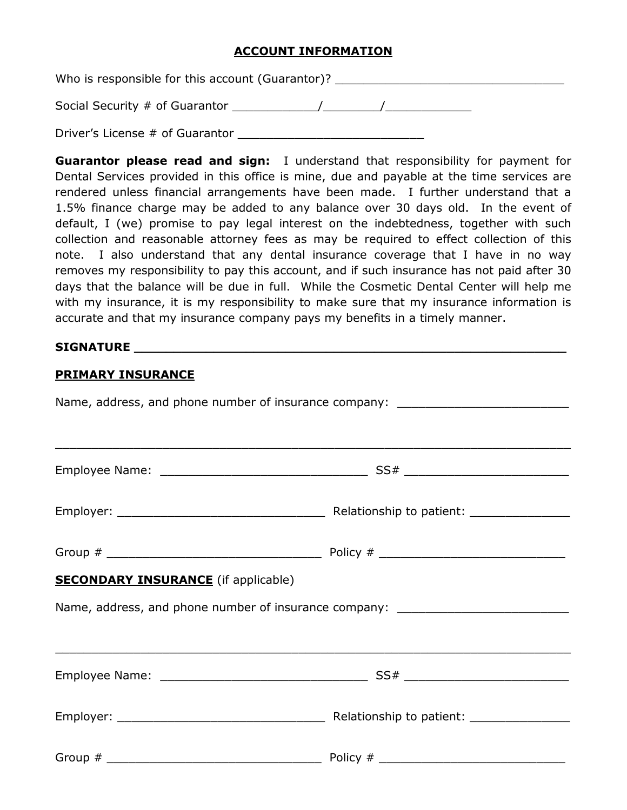## **ACCOUNT INFORMATION**

Who is responsible for this account (Guarantor)? \_\_\_\_\_\_\_\_\_\_\_\_\_\_\_\_\_\_\_\_\_\_\_\_\_\_\_\_\_\_\_ Social Security # of Guarantor \_\_\_\_\_\_\_\_\_\_\_\_/\_\_\_\_\_\_\_\_/\_\_\_\_\_\_\_\_\_\_\_\_

Driver's License # of Guarantor

**Guarantor please read and sign:** I understand that responsibility for payment for Dental Services provided in this office is mine, due and payable at the time services are rendered unless financial arrangements have been made. I further understand that a 1.5% finance charge may be added to any balance over 30 days old. In the event of default, I (we) promise to pay legal interest on the indebtedness, together with such collection and reasonable attorney fees as may be required to effect collection of this note. I also understand that any dental insurance coverage that I have in no way removes my responsibility to pay this account, and if such insurance has not paid after 30 days that the balance will be due in full. While the Cosmetic Dental Center will help me with my insurance, it is my responsibility to make sure that my insurance information is accurate and that my insurance company pays my benefits in a timely manner.

## **SIGNATURE \_\_\_\_\_\_\_\_\_\_\_\_\_\_\_\_\_\_\_\_\_\_\_\_\_\_\_\_\_\_\_\_\_\_\_\_\_\_\_\_\_\_\_\_\_\_\_\_\_\_\_\_\_\_**

#### **PRIMARY INSURANCE**

| Name, address, and phone number of insurance company: __________________________ |  |  |  |  |
|----------------------------------------------------------------------------------|--|--|--|--|
| ,我们也不能会在这里,我们也不能会在这里,我们也不能会在这里,我们也不能会在这里,我们也不能会在这里,我们也不能会不能会不能会。""我们,我们也不能会不能会不能 |  |  |  |  |
|                                                                                  |  |  |  |  |
|                                                                                  |  |  |  |  |
| <b>SECONDARY INSURANCE</b> (if applicable)                                       |  |  |  |  |
| Name, address, and phone number of insurance company: __________________________ |  |  |  |  |
|                                                                                  |  |  |  |  |
|                                                                                  |  |  |  |  |
|                                                                                  |  |  |  |  |